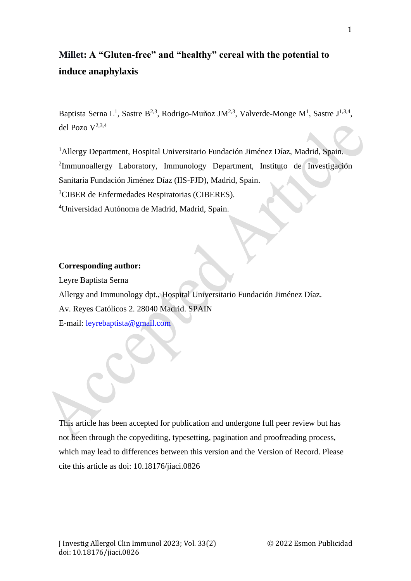# **Millet: A "Gluten-free" and "healthy" cereal with the potential to induce anaphylaxis**

Baptista Serna L<sup>1</sup>, Sastre B<sup>2,3</sup>, Rodrigo-Muñoz JM<sup>2,3</sup>, Valverde-Monge M<sup>1</sup>, Sastre J<sup>1,3,4</sup>, del Pozo V 2,3,4

<sup>1</sup> Allergy Department, Hospital Universitario Fundación Jiménez Díaz, Madrid, Spain. 2 Immunoallergy Laboratory, Immunology Department, Instituto de Investigación Sanitaria Fundación Jiménez Díaz (IIS-FJD), Madrid, Spain.

<sup>3</sup>CIBER de Enfermedades Respiratorias (CIBERES).

<sup>4</sup>Universidad Autónoma de Madrid, Madrid, Spain.

## **Corresponding author:**

Leyre Baptista Serna

Allergy and Immunology dpt., Hospital Universitario Fundación Jiménez Díaz.

Av. Reyes Católicos 2. 28040 Madrid. SPAIN

E-mail: [leyrebaptista@gmail.com](mailto:leyrebaptista@gmail.com)

This article has been accepted for publication and undergone full peer review but has not been through the copyediting, typesetting, pagination and proofreading process, which may lead to differences between this version and the Version of Record. Please cite this article as doi: 10.18176/jiaci.0826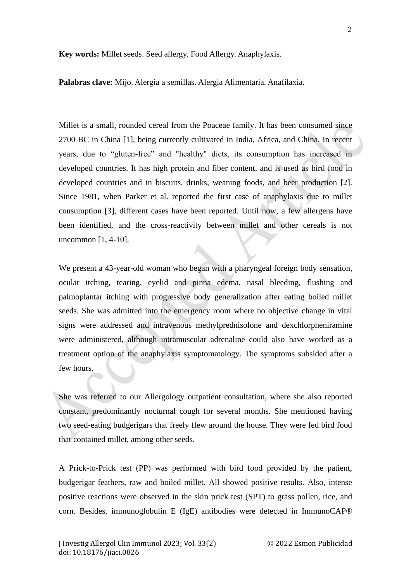**Key words:** Millet seeds. Seed allergy. Food Allergy. Anaphylaxis.

**Palabras clave:** Mijo. Alergia a semillas. Alergia Alimentaria. Anafilaxia.

Millet is a small, rounded cereal from the Poaceae family. It has been consumed since 2700 BC in China [1], being currently cultivated in India, Africa, and China. In recent years, due to "gluten-free" and "healthy" diets, its consumption has increased in developed countries. It has high protein and fiber content, and is used as bird food in developed countries and in biscuits, drinks, weaning foods, and beer production [2]. Since 1981, when Parker et al. reported the first case of anaphylaxis due to millet consumption [3], different cases have been reported. Until now, a few allergens have been identified, and the cross-reactivity between millet and other cereals is not uncommon [1, 4-10].

We present a 43-year-old woman who began with a pharyngeal foreign body sensation, ocular itching, tearing, eyelid and pinna edema, nasal bleeding, flushing and palmoplantar itching with progressive body generalization after eating boiled millet seeds. She was admitted into the emergency room where no objective change in vital signs were addressed and intravenous methylprednisolone and dexchlorpheniramine were administered, although intramuscular adrenaline could also have worked as a treatment option of the anaphylaxis symptomatology. The symptoms subsided after a few hours.

She was referred to our Allergology outpatient consultation, where she also reported constant, predominantly nocturnal cough for several months. She mentioned having two seed-eating budgerigars that freely flew around the house. They were fed bird food that contained millet, among other seeds.

A Prick-to-Prick test (PP) was performed with bird food provided by the patient, budgerigar feathers, raw and boiled millet. All showed positive results. Also, intense positive reactions were observed in the skin prick test (SPT) to grass pollen, rice, and corn. Besides, immunoglobulin E (IgE) antibodies were detected in ImmunoCAP®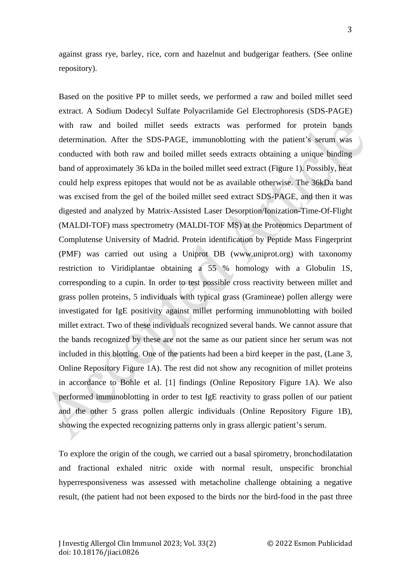against grass rye, barley, rice, corn and hazelnut and budgerigar feathers. (See online repository).

Based on the positive PP to millet seeds, we performed a raw and boiled millet seed extract. A Sodium Dodecyl Sulfate Polyacrilamide Gel Electrophoresis (SDS-PAGE) with raw and boiled millet seeds extracts was performed for protein bands determination. After the SDS-PAGE, immunoblotting with the patient's serum was conducted with both raw and boiled millet seeds extracts obtaining a unique binding band of approximately 36 kDa in the boiled millet seed extract (Figure 1). Possibly, heat could help express epitopes that would not be as available otherwise. The 36kDa band was excised from the gel of the boiled millet seed extract SDS-PAGE, and then it was digested and analyzed by Matrix-Assisted Laser Desorption/Ionization-Time-Of-Flight (MALDI-TOF) mass spectrometry (MALDI-TOF MS) at the Proteomics Department of Complutense University of Madrid. Protein identification by Peptide Mass Fingerprint (PMF) was carried out using a Uniprot DB (www.uniprot.org) with taxonomy restriction to Viridiplantae obtaining a 55 % homology with a Globulin 1S, corresponding to a cupin. In order to test possible cross reactivity between millet and grass pollen proteins, 5 individuals with typical grass (Gramineae) pollen allergy were investigated for IgE positivity against millet performing immunoblotting with boiled millet extract. Two of these individuals recognized several bands. We cannot assure that the bands recognized by these are not the same as our patient since her serum was not included in this blotting. One of the patients had been a bird keeper in the past, (Lane 3, Online Repository Figure 1A). The rest did not show any recognition of millet proteins in accordance to Bohle et al. [1] findings (Online Repository Figure 1A). We also performed immunoblotting in order to test IgE reactivity to grass pollen of our patient and the other 5 grass pollen allergic individuals (Online Repository Figure 1B), showing the expected recognizing patterns only in grass allergic patient's serum.

To explore the origin of the cough, we carried out a basal spirometry, bronchodilatation and fractional exhaled nitric oxide with normal result, unspecific bronchial hyperresponsiveness was assessed with metacholine challenge obtaining a negative result, (the patient had not been exposed to the birds nor the bird-food in the past three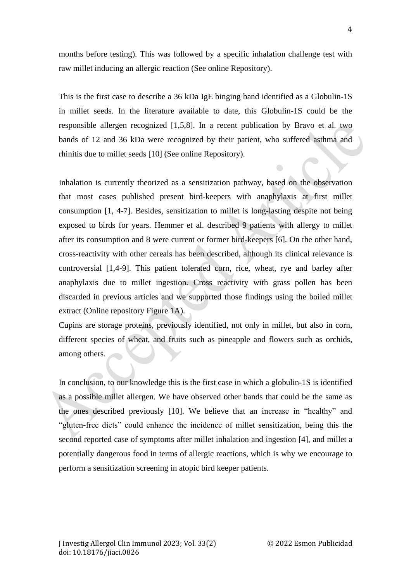months before testing). This was followed by a specific inhalation challenge test with raw millet inducing an allergic reaction (See online Repository).

This is the first case to describe a 36 kDa IgE binging band identified as a Globulin-1S in millet seeds. In the literature available to date, this Globulin-1S could be the responsible allergen recognized [1,5,8]. In a recent publication by Bravo et al. two bands of 12 and 36 kDa were recognized by their patient, who suffered asthma and rhinitis due to millet seeds [10] (See online Repository).

Inhalation is currently theorized as a sensitization pathway, based on the observation that most cases published present bird-keepers with anaphylaxis at first millet consumption [1, 4-7]. Besides, sensitization to millet is long-lasting despite not being exposed to birds for years. Hemmer et al. described 9 patients with allergy to millet after its consumption and 8 were current or former bird-keepers [6]. On the other hand, cross-reactivity with other cereals has been described, although its clinical relevance is controversial [1,4-9]. This patient tolerated corn, rice, wheat, rye and barley after anaphylaxis due to millet ingestion. Cross reactivity with grass pollen has been discarded in previous articles and we supported those findings using the boiled millet extract (Online repository Figure 1A).

Cupins are storage proteins, previously identified, not only in millet, but also in corn, different species of wheat, and fruits such as pineapple and flowers such as orchids, among others.

In conclusion, to our knowledge this is the first case in which a globulin-1S is identified as a possible millet allergen. We have observed other bands that could be the same as the ones described previously [10]. We believe that an increase in "healthy" and "gluten-free diets" could enhance the incidence of millet sensitization, being this the second reported case of symptoms after millet inhalation and ingestion [4], and millet a potentially dangerous food in terms of allergic reactions, which is why we encourage to perform a sensitization screening in atopic bird keeper patients.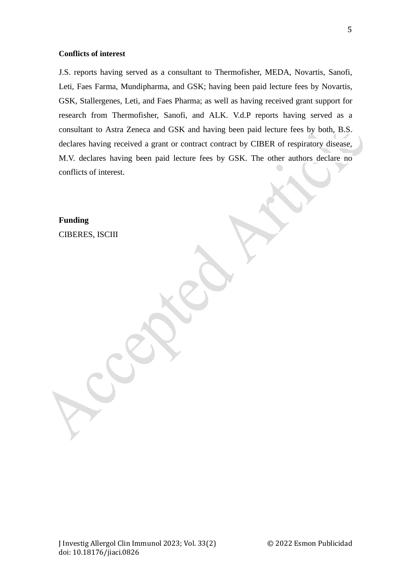## **Conflicts of interest**

J.S. reports having served as a consultant to Thermofisher, MEDA, Novartis, Sanofi, Leti, Faes Farma, Mundipharma, and GSK; having been paid lecture fees by Novartis, GSK, Stallergenes, Leti, and Faes Pharma; as well as having received grant support for research from Thermofisher, Sanofi, and ALK. V.d.P reports having served as a consultant to Astra Zeneca and GSK and having been paid lecture fees by both, B.S. declares having received a grant or contract contract by CIBER of respiratory disease, M.V. declares having been paid lecture fees by GSK. The other authors declare no conflicts of interest.

**Funding** CIBERES, ISCIII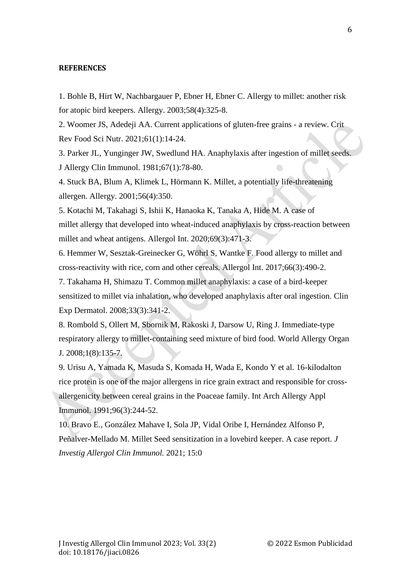#### **REFERENCES**

1. Bohle B, Hirt W, Nachbargauer P, Ebner H, Ebner C. Allergy to millet: another risk for atopic bird keepers. Allergy. 2003;58(4):325-8.

2. Woomer JS, Adedeji AA. Current applications of gluten-free grains - a review. Crit Rev Food Sci Nutr. 2021;61(1):14-24.

3. Parker JL, Yunginger JW, Swedlund HA. Anaphylaxis after ingestion of millet seeds. J Allergy Clin Immunol. 1981;67(1):78-80.

4. Stuck BA, Blum A, Klimek L, Hörmann K. Millet, a potentially life-threatening allergen. Allergy. 2001;56(4):350.

5. Kotachi M, Takahagi S, Ishii K, Hanaoka K, Tanaka A, Hide M. A case of millet allergy that developed into wheat-induced anaphylaxis by cross-reaction between millet and wheat antigens. Allergol Int. 2020;69(3):471-3.

6. Hemmer W, Sesztak-Greinecker G, Wöhrl S, Wantke F. Food allergy to millet and cross-reactivity with rice, corn and other cereals. Allergol Int. 2017;66(3):490-2.

7. Takahama H, Shimazu T. Common millet anaphylaxis: a case of a bird-keeper sensitized to millet via inhalation, who developed anaphylaxis after oral ingestion. Clin Exp Dermatol. 2008;33(3):341-2.

8. Rombold S, Ollert M, Sbornik M, Rakoski J, Darsow U, Ring J. Immediate-type respiratory allergy to millet-containing seed mixture of bird food. World Allergy Organ J. 2008;1(8):135-7.

9. Urisu A, Yamada K, Masuda S, Komada H, Wada E, Kondo Y et al. 16-kilodalton rice protein is one of the major allergens in rice grain extract and responsible for crossallergenicity between cereal grains in the Poaceae family. Int Arch Allergy Appl Immunol. 1991;96(3):244-52.

10. Bravo E., González Mahave I, Sola JP, Vidal Oribe I, Hernández Alfonso P, Peñalver-Mellado M. Millet Seed sensitization in a lovebird keeper. A case report. *J Investig Allergol Clin Immunol.* 2021; 15:0